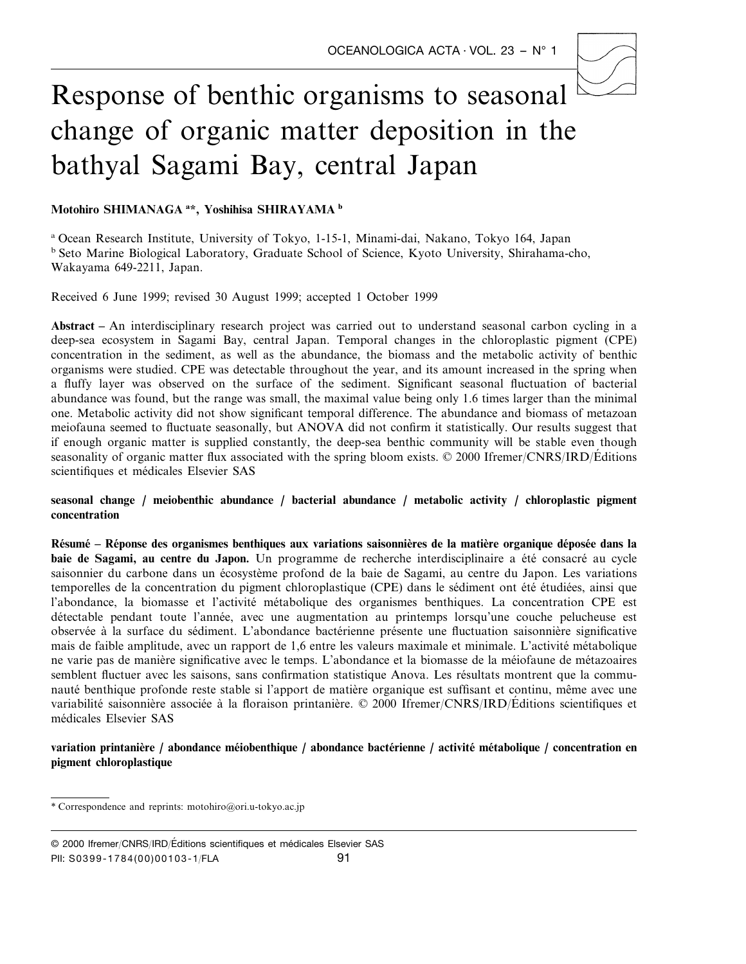# Response of benthic organisms to seasonal change of organic matter deposition in the bathyal Sagami Bay, central Japan

**Motohiro SHIMANAGA <sup>a</sup> \*, Yoshihisa SHIRAYAMA <sup>b</sup>**

<sup>a</sup> Ocean Research Institute, University of Tokyo, 1-15-1, Minami-dai, Nakano, Tokyo 164, Japan <sup>b</sup> Seto Marine Biological Laboratory, Graduate School of Science, Kyoto University, Shirahama-cho, Wakayama 649-2211, Japan.

Received 6 June 1999; revised 30 August 1999; accepted 1 October 1999

**Abstract –** An interdisciplinary research project was carried out to understand seasonal carbon cycling in a deep-sea ecosystem in Sagami Bay, central Japan. Temporal changes in the chloroplastic pigment (CPE) concentration in the sediment, as well as the abundance, the biomass and the metabolic activity of benthic organisms were studied. CPE was detectable throughout the year, and its amount increased in the spring when a fluffy layer was observed on the surface of the sediment. Significant seasonal fluctuation of bacterial abundance was found, but the range was small, the maximal value being only 1.6 times larger than the minimal one. Metabolic activity did not show significant temporal difference. The abundance and biomass of metazoan meiofauna seemed to fluctuate seasonally, but ANOVA did not confirm it statistically. Our results suggest that if enough organic matter is supplied constantly, the deep-sea benthic community will be stable even though seasonality of organic matter flux associated with the spring bloom exists.  $\odot$  2000 Ifremer/CNRS/IRD/Editions scientifiques et médicales Elsevier SAS

**seasonal change** / **meiobenthic abundance** / **bacterial abundance** / **metabolic activity** / **chloroplastic pigment concentration**

Résumé – Réponse des organismes benthiques aux variations saisonnières de la matière organique déposée dans la **baie de Sagami, au centre du Japon.** Un programme de recherche interdisciplinaire a été consacré au cycle saisonnier du carbone dans un écosystème profond de la baie de Sagami, au centre du Japon. Les variations temporelles de la concentration du pigment chloroplastique (CPE) dans le sédiment ont été étudiées, ainsi que l'abondance, la biomasse et l'activité métabolique des organismes benthiques. La concentration CPE est détectable pendant toute l'année, avec une augmentation au printemps lorsqu'une couche pelucheuse est observée à la surface du sédiment. L'abondance bactérienne présente une fluctuation saisonnière significative mais de faible amplitude, avec un rapport de 1,6 entre les valeurs maximale et minimale. L'activité métabolique ne varie pas de manière significative avec le temps. L'abondance et la biomasse de la méjofaune de métazoaires semblent fluctuer avec les saisons, sans confirmation statistique Anova. Les résultats montrent que la communauté benthique profonde reste stable si l'apport de matière organique est suffisant et continu, même avec une variabilité saisonnière associée à la floraison printanière. © 2000 Ifremer/CNRS/IRD/Éditions scientifiques et médicales Elsevier SAS

## **variation printanie`re** / **abondance me´iobenthique** / **abondance bacte´rienne** / **activite´ me´tabolique** / **concentration en pigment chloroplastique**

<sup>\*</sup> Correspondence and reprints: motohiro@ori.u-tokyo.ac.jp

<sup>91</sup> © 2000 Ifremer/CNRS/IRD/Éditions scientifiques et médicales Elsevier SAS PII: S0399-1784(00)00103-1/FLA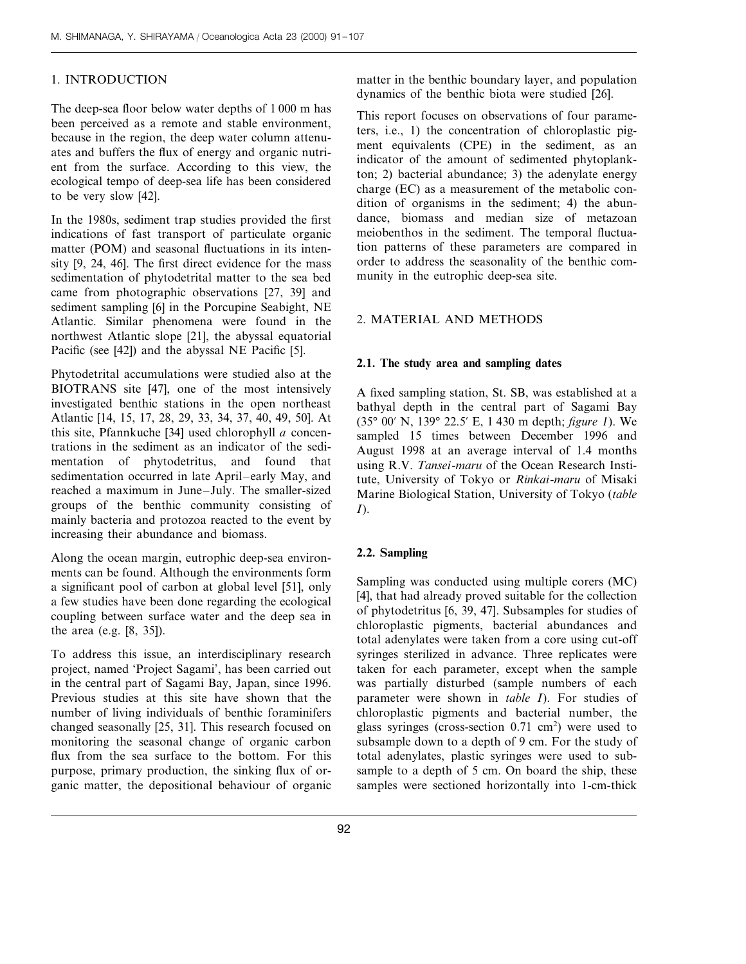## 1. INTRODUCTION

The deep-sea floor below water depths of 1 000 m has been perceived as a remote and stable environment, because in the region, the deep water column attenuates and buffers the flux of energy and organic nutrient from the surface. According to this view, the ecological tempo of deep-sea life has been considered to be very slow [42].

In the 1980s, sediment trap studies provided the first indications of fast transport of particulate organic matter (POM) and seasonal fluctuations in its intensity [9, 24, 46]. The first direct evidence for the mass sedimentation of phytodetrital matter to the sea bed came from photographic observations [27, 39] and sediment sampling [6] in the Porcupine Seabight, NE Atlantic. Similar phenomena were found in the northwest Atlantic slope [21], the abyssal equatorial Pacific (see [42]) and the abyssal NE Pacific [5].

Phytodetrital accumulations were studied also at the BIOTRANS site [47], one of the most intensively investigated benthic stations in the open northeast Atlantic [14, 15, 17, 28, 29, 33, 34, 37, 40, 49, 50]. At this site, Pfannkuche [34] used chlorophyll *a* concentrations in the sediment as an indicator of the sedimentation of phytodetritus, and found that sedimentation occurred in late April–early May, and reached a maximum in June–July. The smaller-sized groups of the benthic community consisting of mainly bacteria and protozoa reacted to the event by increasing their abundance and biomass.

Along the ocean margin, eutrophic deep-sea environments can be found. Although the environments form a significant pool of carbon at global level [51], only a few studies have been done regarding the ecological coupling between surface water and the deep sea in the area (e.g. [8, 35]).

To address this issue, an interdisciplinary research project, named 'Project Sagami', has been carried out in the central part of Sagami Bay, Japan, since 1996. Previous studies at this site have shown that the number of living individuals of benthic foraminifers changed seasonally [25, 31]. This research focused on monitoring the seasonal change of organic carbon flux from the sea surface to the bottom. For this purpose, primary production, the sinking flux of organic matter, the depositional behaviour of organic matter in the benthic boundary layer, and population dynamics of the benthic biota were studied [26].

This report focuses on observations of four parameters, i.e., 1) the concentration of chloroplastic pigment equivalents (CPE) in the sediment, as an indicator of the amount of sedimented phytoplankton; 2) bacterial abundance; 3) the adenylate energy charge (EC) as a measurement of the metabolic condition of organisms in the sediment; 4) the abundance, biomass and median size of metazoan meiobenthos in the sediment. The temporal fluctuation patterns of these parameters are compared in order to address the seasonality of the benthic community in the eutrophic deep-sea site.

## 2. MATERIAL AND METHODS

#### **2.1. The study area and sampling dates**

A fixed sampling station, St. SB, was established at a bathyal depth in the central part of Sagami Bay (35° 00% N, 139° 22.5% E, 1 430 m depth; *figure* <sup>1</sup>). We sampled 15 times between December 1996 and August 1998 at an average interval of 1.4 months using R.V. *Tansei*-*maru* of the Ocean Research Institute, University of Tokyo or *Rinkai*-*maru* of Misaki Marine Biological Station, University of Tokyo (*table I*).

## **2.2. Sampling**

Sampling was conducted using multiple corers (MC) [4], that had already proved suitable for the collection of phytodetritus [6, 39, 47]. Subsamples for studies of chloroplastic pigments, bacterial abundances and total adenylates were taken from a core using cut-off syringes sterilized in advance. Three replicates were taken for each parameter, except when the sample was partially disturbed (sample numbers of each parameter were shown in *table I*). For studies of chloroplastic pigments and bacterial number, the glass syringes (cross-section  $0.71 \text{ cm}^2$ ) were used to subsample down to a depth of 9 cm. For the study of total adenylates, plastic syringes were used to subsample to a depth of 5 cm. On board the ship, these samples were sectioned horizontally into 1-cm-thick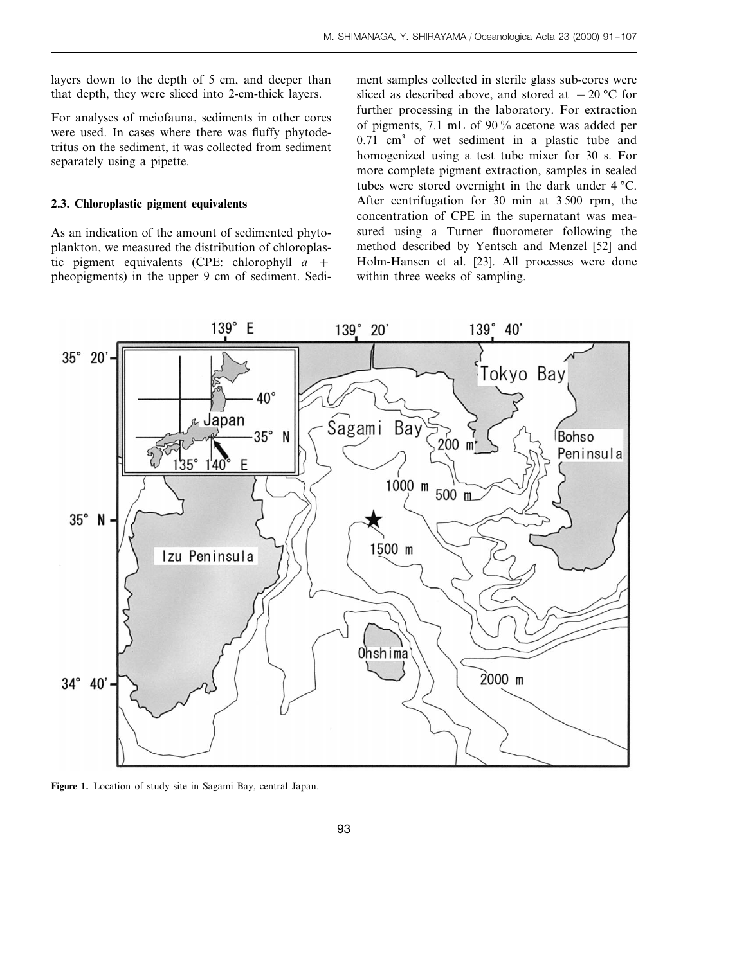layers down to the depth of 5 cm, and deeper than that depth, they were sliced into 2-cm-thick layers.

For analyses of meiofauna, sediments in other cores were used. In cases where there was fluffy phytodetritus on the sediment, it was collected from sediment separately using a pipette.

#### **2.3. Chloroplastic pigment equivalents**

As an indication of the amount of sedimented phytoplankton, we measured the distribution of chloroplastic pigment equivalents (CPE: chlorophyll *a* + pheopigments) in the upper 9 cm of sediment. Sediment samples collected in sterile glass sub-cores were sliced as described above, and stored at  $-20$  °C for further processing in the laboratory. For extraction of pigments, 7.1 mL of 90 % acetone was added per 0.71 cm3 of wet sediment in a plastic tube and homogenized using a test tube mixer for 30 s. For more complete pigment extraction, samples in sealed tubes were stored overnight in the dark under 4 °C. After centrifugation for 30 min at 3 500 rpm, the concentration of CPE in the supernatant was measured using a Turner fluorometer following the method described by Yentsch and Menzel [52] and Holm-Hansen et al. [23]. All processes were done within three weeks of sampling.



**Figure 1.** Location of study site in Sagami Bay, central Japan.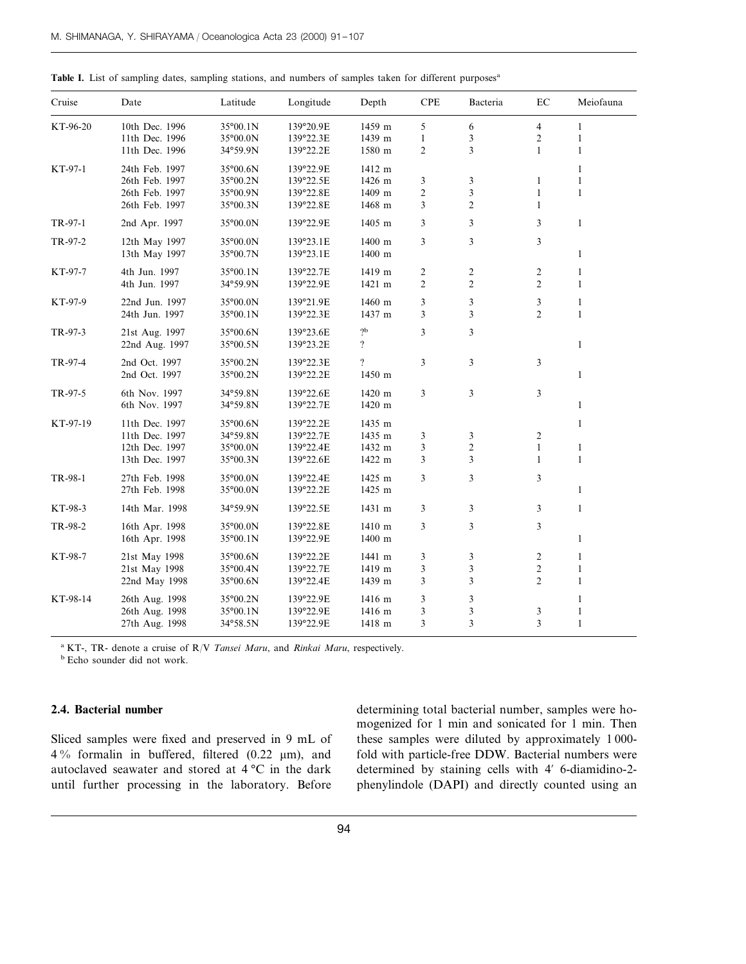| Cruise   | Date           | Latitude          | Longitude | Depth            | <b>CPE</b>     | Bacteria       | EC             | Meiofauna    |
|----------|----------------|-------------------|-----------|------------------|----------------|----------------|----------------|--------------|
| KT-96-20 | 10th Dec. 1996 | 35°00.1N          | 139°20.9E | 1459 m           | 5              | 6              | $\overline{4}$ | $\mathbf{1}$ |
|          | 11th Dec. 1996 | 35°00.0N          | 139°22.3E | 1439 m           | $\mathbf{1}$   | 3              | $\overline{c}$ | 1            |
|          | 11th Dec. 1996 | 34°59.9N          | 139°22.2E | 1580 m           | 2              | 3              | $\mathbf{1}$   | 1            |
| KT-97-1  | 24th Feb. 1997 | 35°00.6N          | 139°22.9E | 1412 m           |                |                |                | 1            |
|          | 26th Feb. 1997 | 35°00.2N          | 139°22.5E | 1426 m           | 3              | 3              | $\mathbf{1}$   | $\mathbf{1}$ |
|          | 26th Feb. 1997 | 35°00.9N          | 139°22.8E | 1409 m           | $\overline{c}$ | $\overline{3}$ | $\mathbf{1}$   | $\mathbf{1}$ |
|          | 26th Feb. 1997 | $35^{\circ}00.3N$ | 139°22.8E | 1468 m           | 3              | $\mathfrak{2}$ | $\mathbf{1}$   |              |
| TR-97-1  | 2nd Apr. 1997  | 35°00.0N          | 139°22.9E | 1405 m           | 3              | 3              | 3              | $\mathbf{1}$ |
| TR-97-2  | 12th May 1997  | 35°00.0N          | 139°23.1E | 1400 m           | 3              | $\overline{3}$ | 3              |              |
|          | 13th May 1997  | 35°00.7N          | 139°23.1E | 1400 m           |                |                |                | 1            |
| KT-97-7  | 4th Jun. 1997  | 35°00.1N          | 139°22.7E | 1419 m           | $\overline{c}$ | $\overline{c}$ | $\overline{c}$ | 1            |
|          | 4th Jun. 1997  | 34°59.9N          | 139°22.9E | 1421 m           | $\mathfrak{2}$ | $\mathfrak{2}$ | $\overline{c}$ | $\mathbf{1}$ |
| KT-97-9  | 22nd Jun. 1997 | 35°00.0N          | 139°21.9E | 1460 m           | 3              | 3              | 3              | 1            |
|          | 24th Jun. 1997 | 35°00.1N          | 139°22.3E | 1437 m           | 3              | 3              | $\overline{2}$ | 1            |
| TR-97-3  | 21st Aug. 1997 | 35°00.6N          | 139°23.6E | $\mathrm{^{9}p}$ | 3              | 3              |                |              |
|          | 22nd Aug. 1997 | 35°00.5N          | 139°23.2E | $\overline{?}$   |                |                |                | 1            |
| TR-97-4  | 2nd Oct. 1997  | 35°00.2N          | 139°22.3E | $\overline{?}$   | 3              | 3              | 3              |              |
|          | 2nd Oct. 1997  | 35°00.2N          | 139°22.2E | 1450 m           |                |                |                | $\mathbf{1}$ |
| TR-97-5  | 6th Nov. 1997  | 34°59.8N          | 139°22.6E | 1420 m           | 3              | 3              | 3              |              |
|          | 6th Nov. 1997  | 34°59.8N          | 139°22.7E | 1420 m           |                |                |                | 1            |
| KT-97-19 | 11th Dec. 1997 | 35°00.6N          | 139°22.2E | 1435 m           |                |                |                | 1            |
|          | 11th Dec. 1997 | 34°59.8N          | 139°22.7E | 1435 m           | 3              | 3              | 2              |              |
|          | 12th Dec. 1997 | 35°00.0N          | 139°22.4E | 1432 m           | 3              | $\overline{c}$ | $\mathbf{1}$   | $\mathbf{1}$ |
|          | 13th Dec. 1997 | 35°00.3N          | 139°22.6E | 1422 m           | 3              | 3              | $\mathbf{1}$   | 1            |
| TR-98-1  | 27th Feb. 1998 | 35°00.0N          | 139°22.4E | 1425 m           | 3              | 3              | 3              |              |
|          | 27th Feb. 1998 | 35°00.0N          | 139°22.2E | 1425 m           |                |                |                | $\mathbf{1}$ |
| KT-98-3  | 14th Mar. 1998 | 34°59.9N          | 139°22.5E | 1431 m           | 3              | 3              | 3              | 1            |
| TR-98-2  | 16th Apr. 1998 | 35°00.0N          | 139°22.8E | 1410 m           | 3              | 3              | 3              |              |
|          | 16th Apr. 1998 | 35°00.1N          | 139°22.9E | 1400 m           |                |                |                | $\mathbf{1}$ |
| KT-98-7  | 21st May 1998  | 35°00.6N          | 139°22.2E | 1441 m           | 3              | 3              | $\mathfrak{2}$ | 1            |
|          | 21st May 1998  | 35°00.4N          | 139°22.7E | 1419 m           | 3              | 3              | 2              | 1            |
|          | 22nd May 1998  | 35°00.6N          | 139°22.4E | 1439 m           | 3              | 3              | $\overline{c}$ | $\mathbf{1}$ |
| KT-98-14 | 26th Aug. 1998 | 35°00.2N          | 139°22.9E | 1416 m           | 3              | 3              |                | 1            |
|          | 26th Aug. 1998 | 35°00.1N          | 139°22.9E | 1416 m           | 3              | 3              | 3              | 1            |
|          | 27th Aug. 1998 | 34°58.5N          | 139°22.9E | 1418 m           | 3              | 3              | 3              | 1            |

| Table I. List of sampling dates, sampling stations, and numbers of samples taken for different purposes <sup>a</sup> |
|----------------------------------------------------------------------------------------------------------------------|
|----------------------------------------------------------------------------------------------------------------------|

<sup>a</sup> KT-, TR- denote a cruise of R/V *Tansei Maru*, and *Rinkai Maru*, respectively.

<sup>b</sup> Echo sounder did not work.

# **2.4. Bacterial number**

Sliced samples were fixed and preserved in 9 mL of  $4\%$  formalin in buffered, filtered (0.22 µm), and autoclaved seawater and stored at 4 °C in the dark until further processing in the laboratory. Before determining total bacterial number, samples were homogenized for 1 min and sonicated for 1 min. Then these samples were diluted by approximately 1 000 fold with particle-free DDW. Bacterial numbers were determined by staining cells with 4' 6-diamidino-2phenylindole (DAPI) and directly counted using an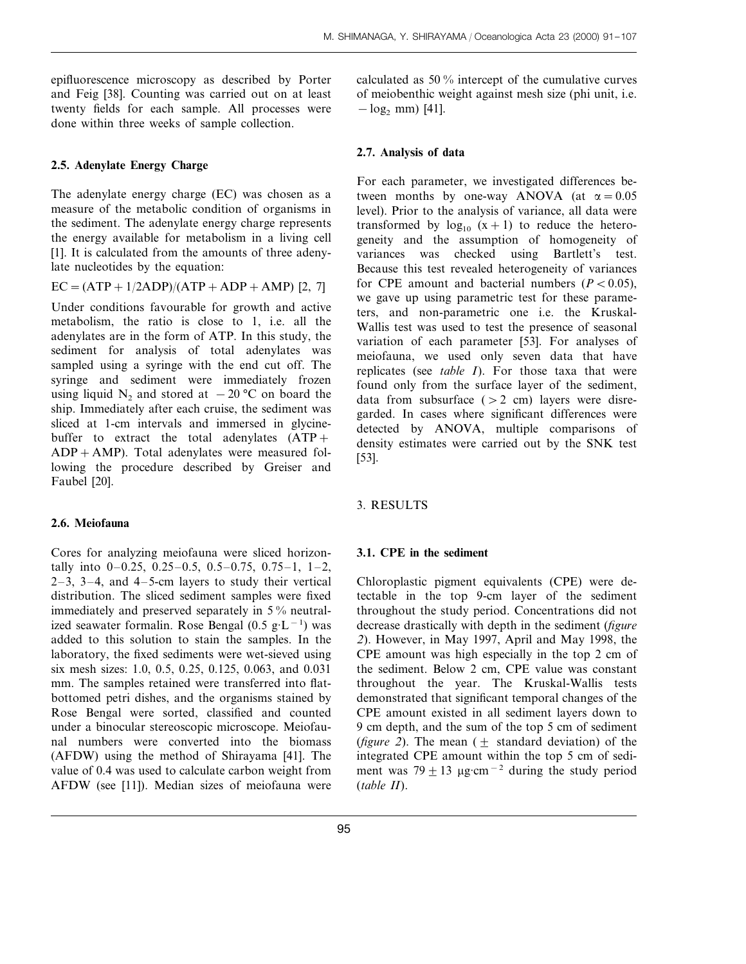epifluorescence microscopy as described by Porter and Feig [38]. Counting was carried out on at least twenty fields for each sample. All processes were done within three weeks of sample collection.

## **2.5. Adenylate Energy Charge**

The adenylate energy charge (EC) was chosen as a measure of the metabolic condition of organisms in the sediment. The adenylate energy charge represents the energy available for metabolism in a living cell [1]. It is calculated from the amounts of three adenylate nucleotides by the equation:

$$
EC = (ATP + 1/2ADP)/(ATP + ADP + AMP)
$$
 [2, 7]

Under conditions favourable for growth and active metabolism, the ratio is close to 1, i.e. all the adenylates are in the form of ATP. In this study, the sediment for analysis of total adenylates was sampled using a syringe with the end cut off. The syringe and sediment were immediately frozen using liquid N<sub>2</sub> and stored at  $-20$  °C on board the ship. Immediately after each cruise, the sediment was sliced at 1-cm intervals and immersed in glycinebuffer to extract the total adenylates  $(ATP +$  $ADP+AMP$ ). Total adenylates were measured following the procedure described by Greiser and Faubel [20].

## **2.6. Meiofauna**

Cores for analyzing meiofauna were sliced horizontally into  $0-0.25$ ,  $0.25-0.5$ ,  $0.5-0.75$ ,  $0.75-1$ ,  $1-2$ ,  $2-3$ ,  $3-4$ , and  $4-5$ -cm layers to study their vertical distribution. The sliced sediment samples were fixed immediately and preserved separately in 5 % neutralized seawater formalin. Rose Bengal (0.5 g·L<sup>−</sup><sup>1</sup> ) was added to this solution to stain the samples. In the laboratory, the fixed sediments were wet-sieved using six mesh sizes: 1.0, 0.5, 0.25, 0.125, 0.063, and 0.031 mm. The samples retained were transferred into flatbottomed petri dishes, and the organisms stained by Rose Bengal were sorted, classified and counted under a binocular stereoscopic microscope. Meiofaunal numbers were converted into the biomass (AFDW) using the method of Shirayama [41]. The value of 0.4 was used to calculate carbon weight from AFDW (see [11]). Median sizes of meiofauna were calculated as 50 % intercept of the cumulative curves of meiobenthic weight against mesh size (phi unit, i.e.  $-\log_2$  mm) [41].

## **2.7. Analysis of data**

For each parameter, we investigated differences between months by one-way ANOVA (at  $\alpha = 0.05$ ) level). Prior to the analysis of variance, all data were transformed by  $log_{10} (x+1)$  to reduce the heterogeneity and the assumption of homogeneity of variances was checked using Bartlett's test. Because this test revealed heterogeneity of variances for CPE amount and bacterial numbers  $(P < 0.05)$ , we gave up using parametric test for these parameters, and non-parametric one i.e. the Kruskal-Wallis test was used to test the presence of seasonal variation of each parameter [53]. For analyses of meiofauna, we used only seven data that have replicates (see *table I*). For those taxa that were found only from the surface layer of the sediment, data from subsurface  $(> 2$  cm) layers were disregarded. In cases where significant differences were detected by ANOVA, multiple comparisons of density estimates were carried out by the SNK test [53].

## 3. RESULTS

## **3.1. CPE in the sediment**

Chloroplastic pigment equivalents (CPE) were detectable in the top 9-cm layer of the sediment throughout the study period. Concentrations did not decrease drastically with depth in the sediment (*figure* <sup>2</sup>). However, in May 1997, April and May 1998, the CPE amount was high especially in the top 2 cm of the sediment. Below 2 cm, CPE value was constant throughout the year. The Kruskal-Wallis tests demonstrated that significant temporal changes of the CPE amount existed in all sediment layers down to 9 cm depth, and the sum of the top 5 cm of sediment (*figure* 2). The mean  $(+)$  standard deviation) of the integrated CPE amount within the top 5 cm of sediment was  $79 \pm 13$  µg·cm<sup>-2</sup> during the study period (*table II*).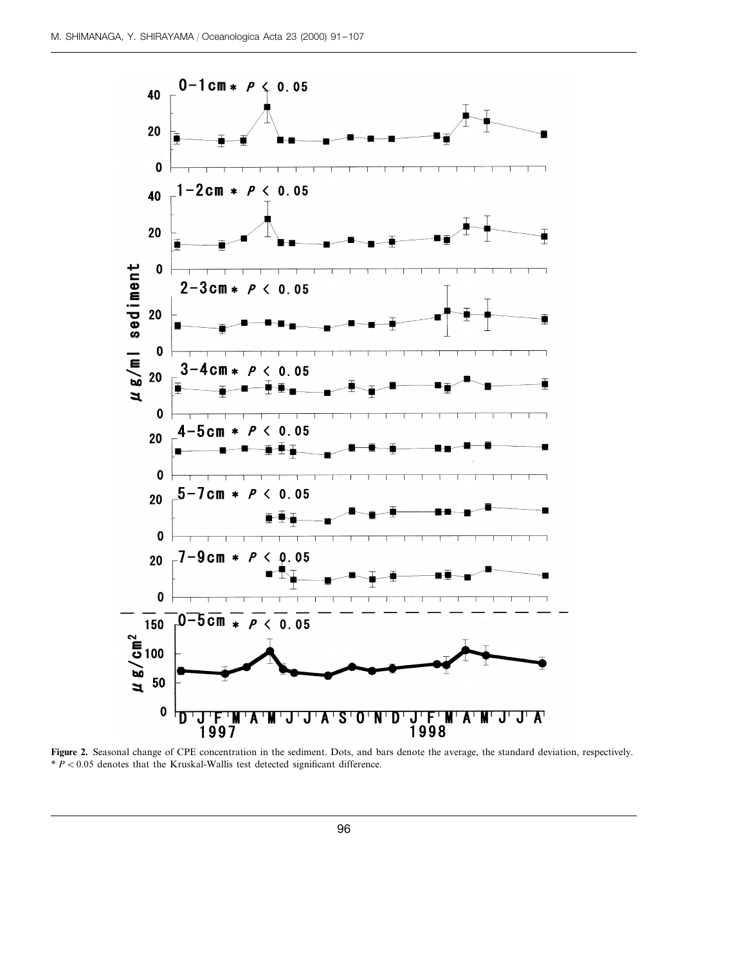

Figure 2. Seasonal change of CPE concentration in the sediment. Dots, and bars denote the average, the standard deviation, respectively.  $* P < 0.05$  denotes that the Kruskal-Wallis test detected significant difference.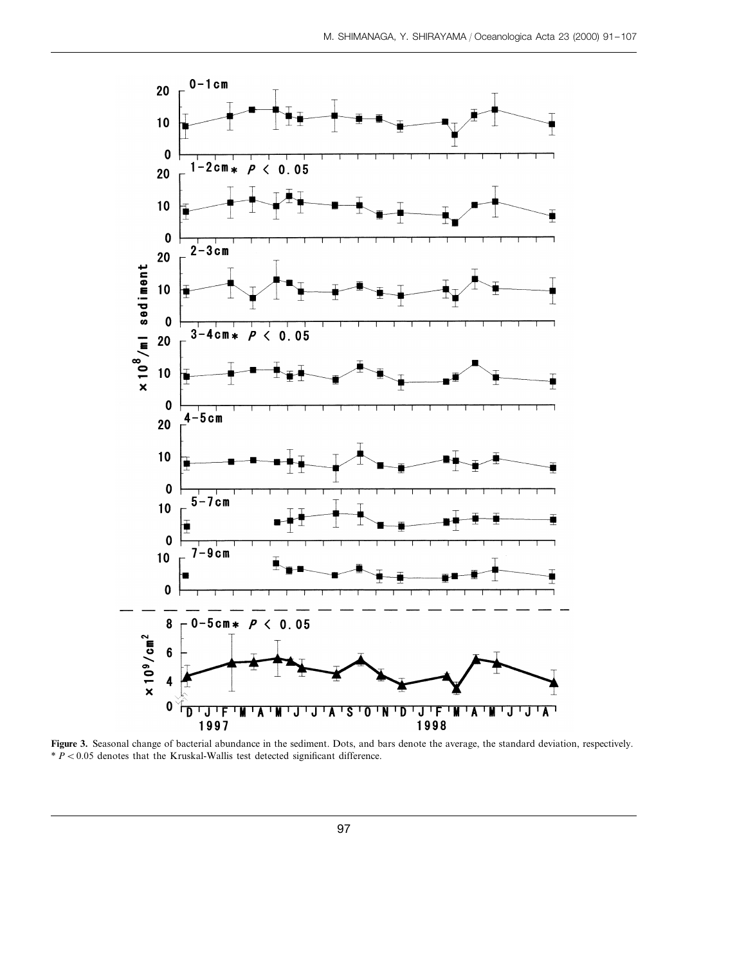

**Figure 3.** Seasonal change of bacterial abundance in the sediment. Dots, and bars denote the average, the standard deviation, respectively.  $* P < 0.05$  denotes that the Kruskal-Wallis test detected significant difference.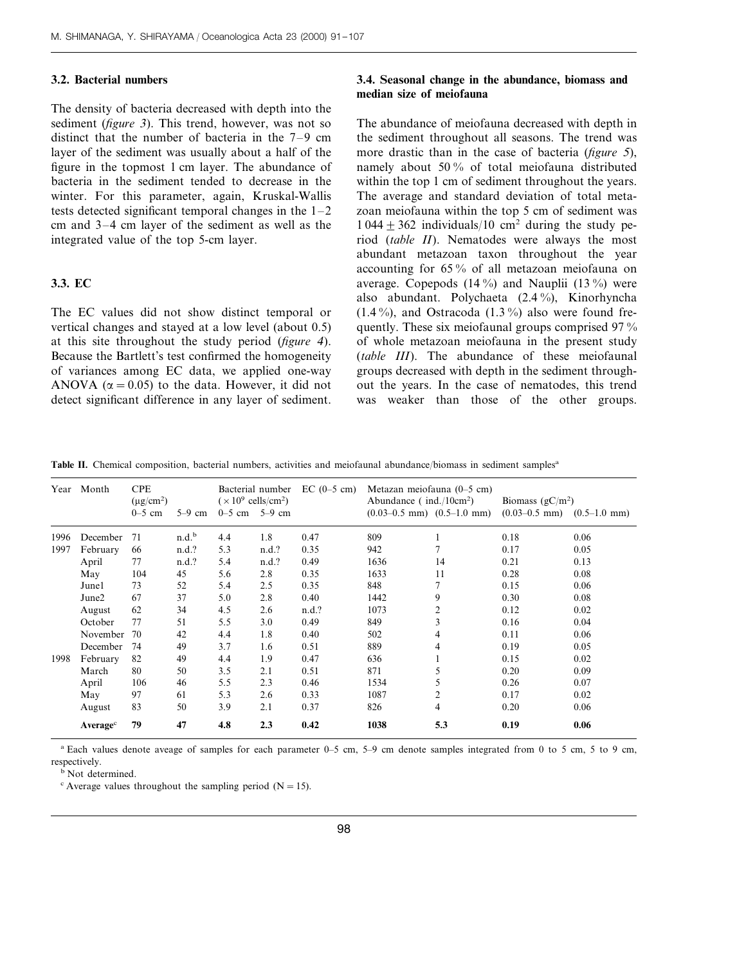## **3.2. Bacterial numbers**

The density of bacteria decreased with depth into the sediment (*figure* 3). This trend, however, was not so distinct that the number of bacteria in the 7–9 cm layer of the sediment was usually about a half of the figure in the topmost 1 cm layer. The abundance of bacteria in the sediment tended to decrease in the winter. For this parameter, again, Kruskal-Wallis tests detected significant temporal changes in the  $1-2$ cm and 3–4 cm layer of the sediment as well as the integrated value of the top 5-cm layer.

## **3.3. EC**

The EC values did not show distinct temporal or vertical changes and stayed at a low level (about 0.5) at this site throughout the study period (*figure* <sup>4</sup>). Because the Bartlett's test confirmed the homogeneity of variances among EC data, we applied one-way ANOVA ( $\alpha$  = 0.05) to the data. However, it did not detect significant difference in any layer of sediment.

# **3.4. Seasonal change in the abundance, biomass and median size of meiofauna**

The abundance of meiofauna decreased with depth in the sediment throughout all seasons. The trend was more drastic than in the case of bacteria (*figure* <sup>5</sup>), namely about 50 % of total meiofauna distributed within the top 1 cm of sediment throughout the years. The average and standard deviation of total metazoan meiofauna within the top 5 cm of sediment was  $1044 \pm 362$  individuals/10 cm<sup>2</sup> during the study period (*table II*). Nematodes were always the most abundant metazoan taxon throughout the year accounting for 65 % of all metazoan meiofauna on average. Copepods  $(14\%)$  and Nauplii  $(13\%)$  were also abundant. Polychaeta (2.4 %), Kinorhyncha  $(1.4\%)$ , and Ostracoda  $(1.3\%)$  also were found frequently. These six meiofaunal groups comprised 97 % of whole metazoan meiofauna in the present study (*table III*). The abundance of these meiofaunal groups decreased with depth in the sediment throughout the years. In the case of nematodes, this trend was weaker than those of the other groups.

**Table II.** Chemical composition, bacterial numbers, activities and meiofaunal abundance/biomass in sediment samples<sup>a</sup>

|      | Year Month           | <b>CPE</b><br>$(\mu$ g/cm <sup>2</sup> ) |                   | Bacterial number<br>$(\times 10^9 \text{ cells/cm}^2)$ |       | $EC(0-5 cm)$ | Metazan meiofauna $(0-5$ cm)<br>Abundance ( $ind./10cm^2$ ) |                                      | Biomass $(gC/m^2)$                   |      |
|------|----------------------|------------------------------------------|-------------------|--------------------------------------------------------|-------|--------------|-------------------------------------------------------------|--------------------------------------|--------------------------------------|------|
|      |                      | $0-5$ cm                                 | $5-9$ cm          | $0-5$ cm $5-9$ cm                                      |       |              |                                                             | $(0.03-0.5$ mm $)$ $(0.5-1.0$ mm $)$ | $(0.03-0.5$ mm $)$ $(0.5-1.0$ mm $)$ |      |
| 1996 | December             | 71                                       | n.d. <sup>b</sup> | 4.4                                                    | 1.8   | 0.47         | 809                                                         |                                      | 0.18                                 | 0.06 |
| 1997 | February             | 66                                       | n.d.?             | 5.3                                                    | n.d.? | 0.35         | 942                                                         |                                      | 0.17                                 | 0.05 |
|      | April                | 77                                       | n.d.?             | 5.4                                                    | n.d.? | 0.49         | 1636                                                        | 14                                   | 0.21                                 | 0.13 |
|      | May                  | 104                                      | 45                | 5.6                                                    | 2.8   | 0.35         | 1633                                                        | 11                                   | 0.28                                 | 0.08 |
|      | Junel                | 73                                       | 52                | 5.4                                                    | 2.5   | 0.35         | 848                                                         |                                      | 0.15                                 | 0.06 |
|      | June <sub>2</sub>    | 67                                       | 37                | 5.0                                                    | 2.8   | 0.40         | 1442                                                        | 9                                    | 0.30                                 | 0.08 |
|      | August               | 62                                       | 34                | 4.5                                                    | 2.6   | n.d.?        | 1073                                                        | $\overline{c}$                       | 0.12                                 | 0.02 |
|      | October              | 77                                       | 51                | 5.5                                                    | 3.0   | 0.49         | 849                                                         | 3                                    | 0.16                                 | 0.04 |
|      | November             | 70                                       | 42                | 4.4                                                    | 1.8   | 0.40         | 502                                                         | 4                                    | 0.11                                 | 0.06 |
|      | December             | 74                                       | 49                | 3.7                                                    | 1.6   | 0.51         | 889                                                         | $\overline{4}$                       | 0.19                                 | 0.05 |
| 1998 | February             | 82                                       | 49                | 4.4                                                    | 1.9   | 0.47         | 636                                                         |                                      | 0.15                                 | 0.02 |
|      | March                | 80                                       | 50                | 3.5                                                    | 2.1   | 0.51         | 871                                                         | 5                                    | 0.20                                 | 0.09 |
|      | April                | 106                                      | 46                | 5.5                                                    | 2.3   | 0.46         | 1534                                                        | 5                                    | 0.26                                 | 0.07 |
|      | May                  | 97                                       | 61                | 5.3                                                    | 2.6   | 0.33         | 1087                                                        | $\overline{c}$                       | 0.17                                 | 0.02 |
|      | August               | 83                                       | 50                | 3.9                                                    | 2.1   | 0.37         | 826                                                         | 4                                    | 0.20                                 | 0.06 |
|      | Average <sup>c</sup> | 79                                       | 47                | 4.8                                                    | 2.3   | 0.42         | 1038                                                        | 5.3                                  | 0.19                                 | 0.06 |

<sup>a</sup> Each values denote aveage of samples for each parameter 0–5 cm, 5–9 cm denote samples integrated from 0 to 5 cm, 5 to 9 cm, respectively.

**b** Not determined.

 $\textdegree$  Average values throughout the sampling period (N = 15).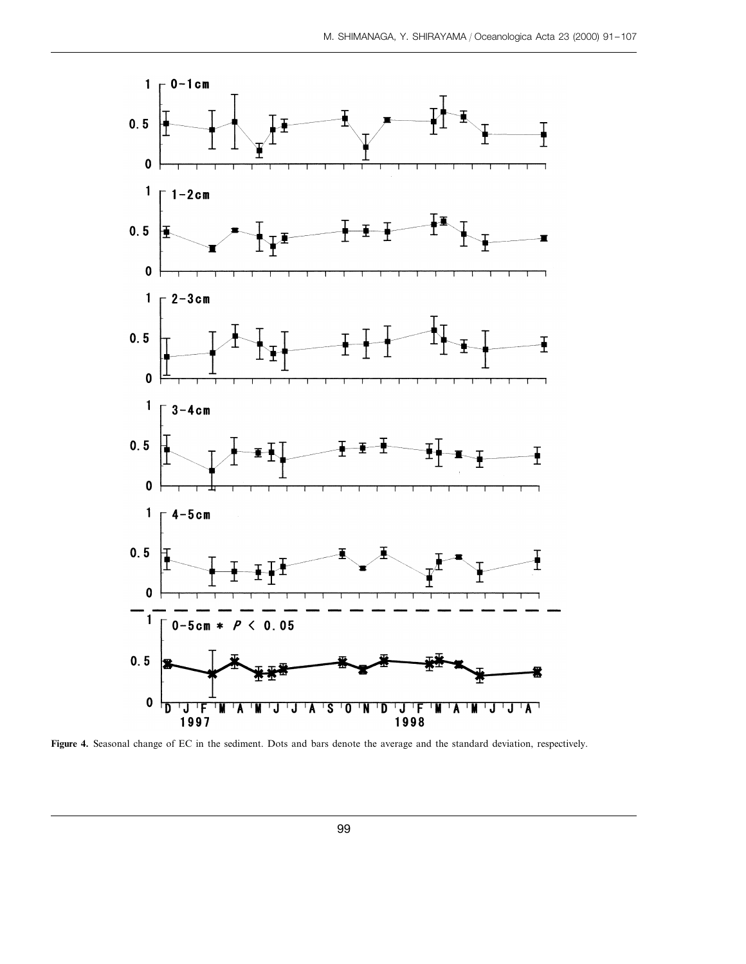

**Figure 4.** Seasonal change of EC in the sediment. Dots and bars denote the average and the standard deviation, respectively.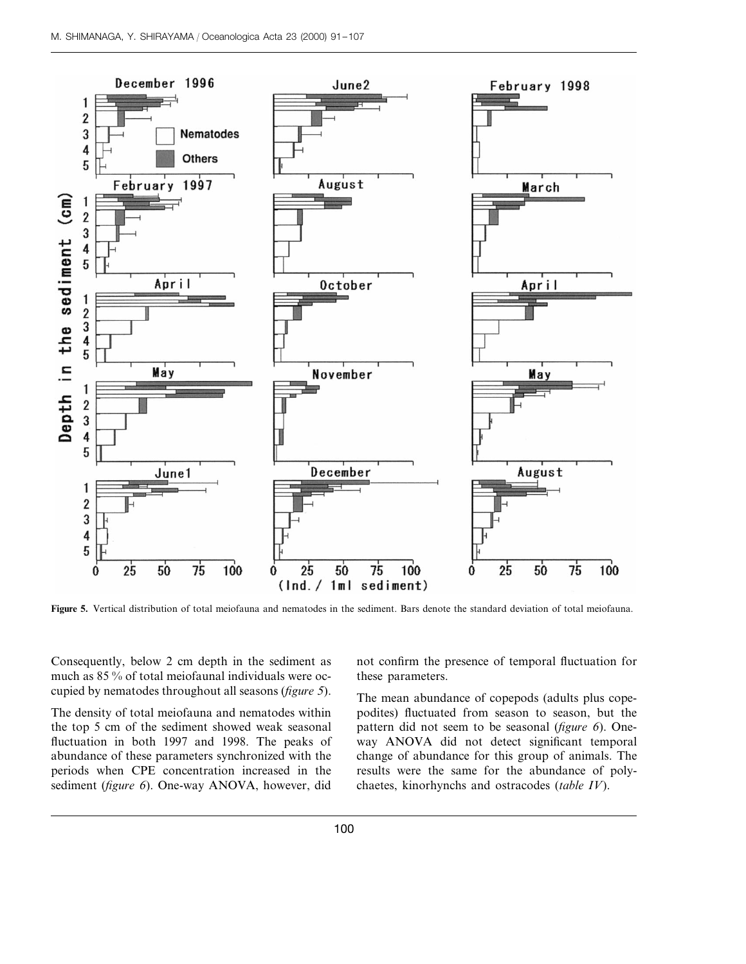

**Figure 5.** Vertical distribution of total meiofauna and nematodes in the sediment. Bars denote the standard deviation of total meiofauna.

Consequently, below 2 cm depth in the sediment as much as 85 % of total meiofaunal individuals were occupied by nematodes throughout all seasons (*figure* <sup>5</sup>).

The density of total meiofauna and nematodes within the top 5 cm of the sediment showed weak seasonal fluctuation in both 1997 and 1998. The peaks of abundance of these parameters synchronized with the periods when CPE concentration increased in the sediment (*figure* 6). One-way ANOVA, however, did not confirm the presence of temporal fluctuation for these parameters.

The mean abundance of copepods (adults plus copepodites) fluctuated from season to season, but the pattern did not seem to be seasonal (*figure* 6). Oneway ANOVA did not detect significant temporal change of abundance for this group of animals. The results were the same for the abundance of polychaetes, kinorhynchs and ostracodes (*table IV*).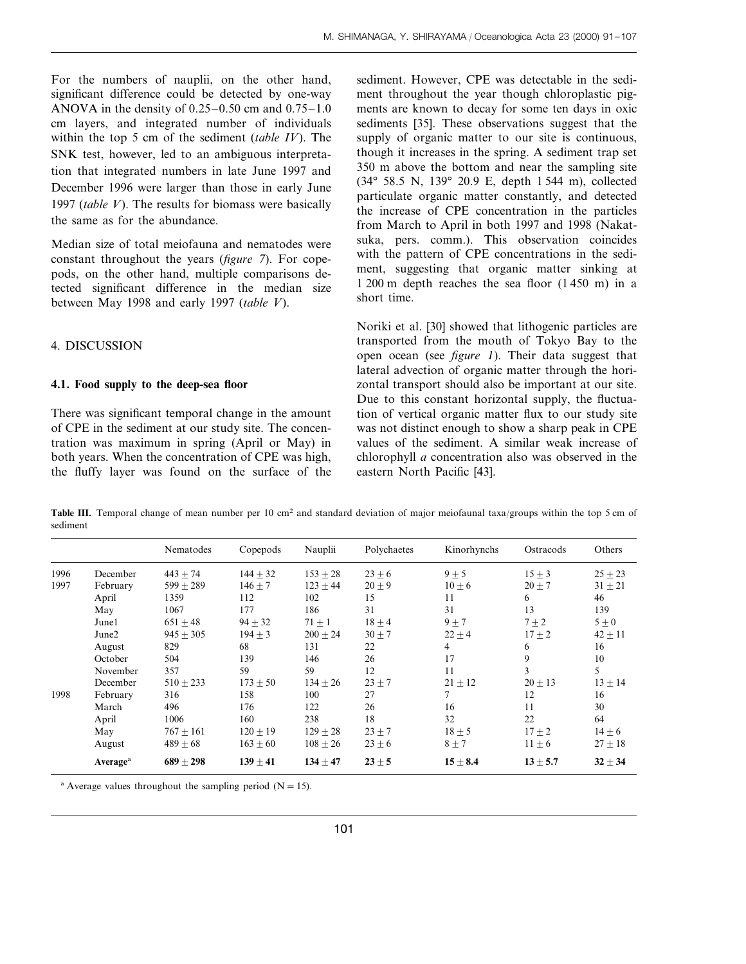For the numbers of nauplii, on the other hand, significant difference could be detected by one-way ANOVA in the density of  $0.25-0.50$  cm and  $0.75-1.0$ cm layers, and integrated number of individuals within the top 5 cm of the sediment (*table IV*). The SNK test, however, led to an ambiguous interpretation that integrated numbers in late June 1997 and December 1996 were larger than those in early June 1997 (*table V*). The results for biomass were basically the same as for the abundance.

Median size of total meiofauna and nematodes were constant throughout the years (*figure* <sup>7</sup>). For copepods, on the other hand, multiple comparisons detected significant difference in the median size between May 1998 and early 1997 (*table V*).

### 4. DISCUSSION

#### **4.1. Food supply to the deep-sea floor**

There was significant temporal change in the amount of CPE in the sediment at our study site. The concentration was maximum in spring (April or May) in both years. When the concentration of CPE was high, the fluffy layer was found on the surface of the sediment. However, CPE was detectable in the sediment throughout the year though chloroplastic pigments are known to decay for some ten days in oxic sediments [35]. These observations suggest that the supply of organic matter to our site is continuous, though it increases in the spring. A sediment trap set 350 m above the bottom and near the sampling site (34° 58.5 N, 139° 20.9 E, depth 1 544 m), collected particulate organic matter constantly, and detected the increase of CPE concentration in the particles from March to April in both 1997 and 1998 (Nakatsuka, pers. comm.). This observation coincides with the pattern of CPE concentrations in the sediment, suggesting that organic matter sinking at 1 200 m depth reaches the sea floor (1 450 m) in a short time.

Noriki et al. [30] showed that lithogenic particles are transported from the mouth of Tokyo Bay to the open ocean (see *figure* 1). Their data suggest that lateral advection of organic matter through the horizontal transport should also be important at our site. Due to this constant horizontal supply, the fluctuation of vertical organic matter flux to our study site was not distinct enough to show a sharp peak in CPE values of the sediment. A similar weak increase of chlorophyll *a* concentration also was observed in the eastern North Pacific [43].

Table III. Temporal change of mean number per 10 cm<sup>2</sup> and standard deviation of major meiofaunal taxa/groups within the top 5 cm of sediment

|      |                      | Nematodes     | Copepods   | Nauplii      | Polychaetes | Kinorhynchs  | Ostracods    | Others      |
|------|----------------------|---------------|------------|--------------|-------------|--------------|--------------|-------------|
| 1996 | December             | $443 \pm 74$  | $144 + 32$ | $153 + 28$   | $23 + 6$    | $9 + 5$      | $15 + 3$     | $25 \pm 23$ |
| 1997 | February             | $599 + 289$   | $146 + 7$  | $123 + 44$   | $20 + 9$    | $10 + 6$     | $20 \pm 7$   | $31 \pm 21$ |
|      | April                | 1359          | 112        | 102          | 15          | 11           | 6            | 46          |
|      | May                  | 1067          | 177        | 186          | 31          | 31           | 13           | 139         |
|      | Junel                | $651 + 48$    | $94 + 32$  | $71 + 1$     | $18 \pm 4$  | $9 \pm 7$    | $7 + 2$      | $5\pm0$     |
|      | June2                | $945 + 305$   | $194 + 3$  | $200 + 24$   | $30 + 7$    | $22 \pm 4$   | $17 + 2$     | $42 \pm 11$ |
|      | August               | 829           | 68         | 131          | 22          | 4            | 6            | 16          |
|      | October              | 504           | 139        | 146          | 26          | 17           | 9            | 10          |
|      | November             | 357           | 59         | 59           | 12          | 11           | 3            | 5           |
|      | December             | $510 \pm 233$ | $173 + 50$ | $134 + 26$   | $23 + 7$    | $21 \pm 12$  | $20 \pm 13$  | $13 \pm 14$ |
| 1998 | February             | 316           | 158        | 100          | 27          |              | 12           | 16          |
|      | March                | 496           | 176        | 122          | 26          | 16           | 11           | 30          |
|      | April                | 1006          | 160        | 238          | 18          | 32           | 22           | 64          |
|      | May                  | $767 + 161$   | $120 + 19$ | $129 + 28$   | $23 + 7$    | $18 + 5$     | $17 + 2$     | $14 \pm 6$  |
|      | August               | $489 + 68$    | $163 + 60$ | $108 + 26$   | $23 \pm 6$  | $8 \pm 7$    | $11 \pm 6$   | $27 \pm 18$ |
|      | Average <sup>a</sup> | $689 + 298$   | $139 + 41$ | $134 \pm 47$ | $23 + 5$    | $15 \pm 8.4$ | $13 \pm 5.7$ | $32 \pm 34$ |

<sup>a</sup> Average values throughout the sampling period ( $N=15$ ).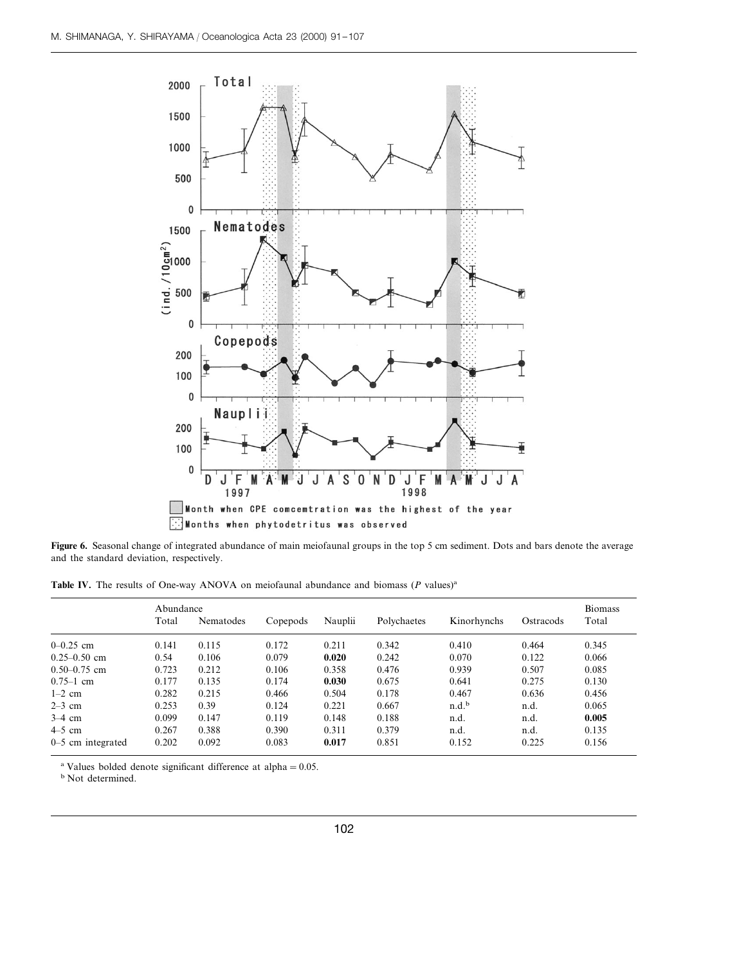

**Figure 6.** Seasonal change of integrated abundance of main meiofaunal groups in the top 5 cm sediment. Dots and bars denote the average and the standard deviation, respectively.

Table IV. The results of One-way ANOVA on meiofaunal abundance and biomass (*P* values)<sup>a</sup>

|                     |       | Abundance |          |         |             |                   |           |       |
|---------------------|-------|-----------|----------|---------|-------------|-------------------|-----------|-------|
|                     | Total | Nematodes | Copepods | Nauplii | Polychaetes | Kinorhynchs       | Ostracods | Total |
| $0 - 0.25$ cm       | 0.141 | 0.115     | 0.172    | 0.211   | 0.342       | 0.410             | 0.464     | 0.345 |
| $0.25 - 0.50$ cm    | 0.54  | 0.106     | 0.079    | 0.020   | 0.242       | 0.070             | 0.122     | 0.066 |
| $0.50 - 0.75$ cm    | 0.723 | 0.212     | 0.106    | 0.358   | 0.476       | 0.939             | 0.507     | 0.085 |
| $0.75 - 1$ cm       | 0.177 | 0.135     | 0.174    | 0.030   | 0.675       | 0.641             | 0.275     | 0.130 |
| $1-2$ cm            | 0.282 | 0.215     | 0.466    | 0.504   | 0.178       | 0.467             | 0.636     | 0.456 |
| $2-3$ cm            | 0.253 | 0.39      | 0.124    | 0.221   | 0.667       | n.d. <sup>b</sup> | n.d.      | 0.065 |
| $3-4$ cm            | 0.099 | 0.147     | 0.119    | 0.148   | 0.188       | n.d.              | n.d.      | 0.005 |
| $4-5$ cm            | 0.267 | 0.388     | 0.390    | 0.311   | 0.379       | n.d.              | n.d.      | 0.135 |
| $0-5$ cm integrated | 0.202 | 0.092     | 0.083    | 0.017   | 0.851       | 0.152             | 0.225     | 0.156 |

<sup>a</sup> Values bolded denote significant difference at alpha =  $0.05$ .

<sup>b</sup> Not determined.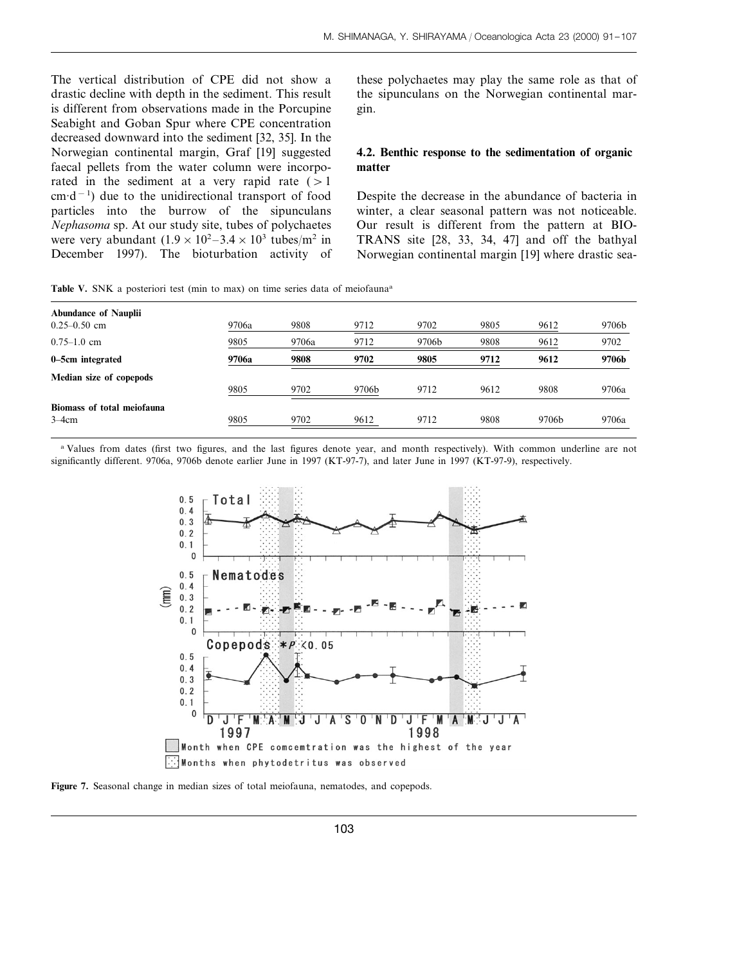The vertical distribution of CPE did not show a drastic decline with depth in the sediment. This result is different from observations made in the Porcupine Seabight and Goban Spur where CPE concentration decreased downward into the sediment [32, 35]. In the Norwegian continental margin, Graf [19] suggested faecal pellets from the water column were incorporated in the sediment at a very rapid rate  $(>1)$ cm·d−<sup>1</sup> ) due to the unidirectional transport of food particles into the burrow of the sipunculans *Nephasoma* sp. At our study site, tubes of polychaetes were very abundant  $(1.9 \times 10^2 - 3.4 \times 10^3 \text{ tubes/m}^2 \text{ in}$ December 1997). The bioturbation activity of these polychaetes may play the same role as that of the sipunculans on the Norwegian continental margin.

## **4.2. Benthic response to the sedimentation of organic matter**

Despite the decrease in the abundance of bacteria in winter, a clear seasonal pattern was not noticeable. Our result is different from the pattern at BIO-TRANS site [28, 33, 34, 47] and off the bathyal Norwegian continental margin [19] where drastic sea-

Table V. SNK a posteriori test (min to max) on time series data of meiofauna<sup>a</sup>

| <b>Abundance of Nauplii</b><br>$0.25 - 0.50$ cm | 9706a | 9808  | 9712  | 9702  | 9805 | 9612  | 9706b |
|-------------------------------------------------|-------|-------|-------|-------|------|-------|-------|
| $0.75 - 1.0$ cm                                 | 9805  | 9706a | 9712  | 9706b | 9808 | 9612  | 9702  |
| 0–5cm integrated                                | 9706a | 9808  | 9702  | 9805  | 9712 | 9612  | 9706b |
| Median size of copepods                         | 9805  | 9702  | 9706b | 9712  | 9612 | 9808  | 9706a |
| Biomass of total meiofauna<br>$3-4cm$           | 9805  | 9702  | 9612  | 9712  | 9808 | 9706b | 9706a |

<sup>a</sup> Values from dates (first two figures, and the last figures denote year, and month respectively). With common underline are not significantly different. 9706a, 9706b denote earlier June in 1997 (KT-97-7), and later June in 1997 (KT-97-9), respectively.



**Figure 7.** Seasonal change in median sizes of total meiofauna, nematodes, and copepods.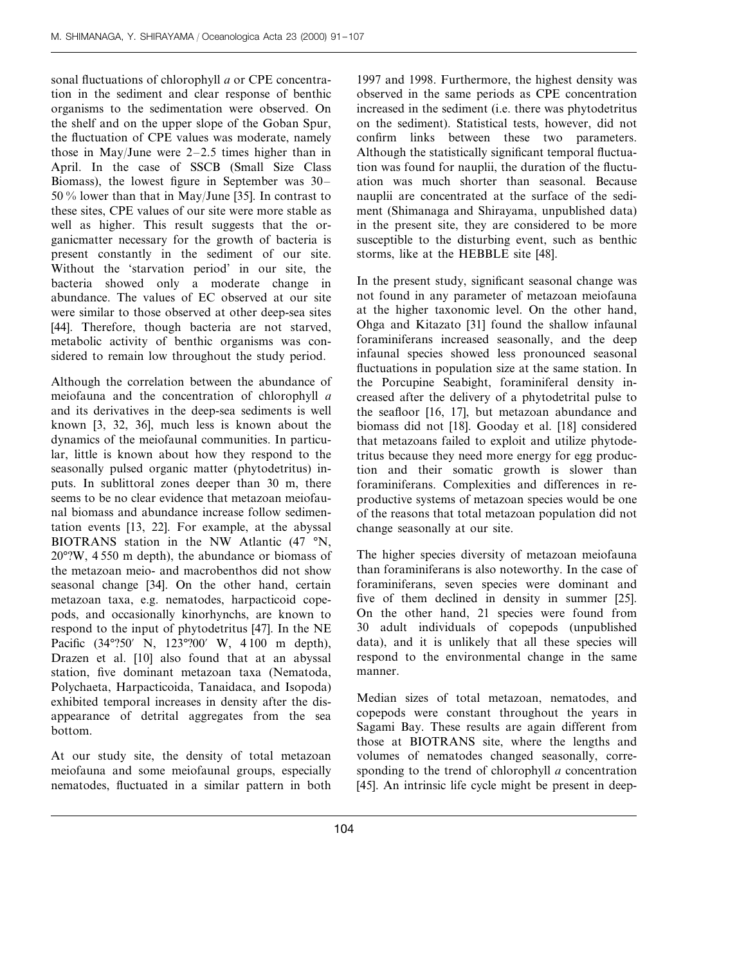sonal fluctuations of chlorophyll *a* or CPE concentration in the sediment and clear response of benthic organisms to the sedimentation were observed. On the shelf and on the upper slope of the Goban Spur, the fluctuation of CPE values was moderate, namely those in May/June were 2–2.5 times higher than in April. In the case of SSCB (Small Size Class Biomass), the lowest figure in September was 30– 50 % lower than that in May/June [35]. In contrast to these sites, CPE values of our site were more stable as well as higher. This result suggests that the organicmatter necessary for the growth of bacteria is present constantly in the sediment of our site. Without the 'starvation period' in our site, the bacteria showed only a moderate change in abundance. The values of EC observed at our site were similar to those observed at other deep-sea sites [44]. Therefore, though bacteria are not starved, metabolic activity of benthic organisms was considered to remain low throughout the study period.

Although the correlation between the abundance of meiofauna and the concentration of chlorophyll *a* and its derivatives in the deep-sea sediments is well known [3, 32, 36], much less is known about the dynamics of the meiofaunal communities. In particular, little is known about how they respond to the seasonally pulsed organic matter (phytodetritus) inputs. In sublittoral zones deeper than 30 m, there seems to be no clear evidence that metazoan meiofaunal biomass and abundance increase follow sedimentation events [13, 22]. For example, at the abyssal BIOTRANS station in the NW Atlantic (47 °N, 20°?W, 4 550 m depth), the abundance or biomass of the metazoan meio- and macrobenthos did not show seasonal change [34]. On the other hand, certain metazoan taxa, e.g. nematodes, harpacticoid copepods, and occasionally kinorhynchs, are known to respond to the input of phytodetritus [47]. In the NE Pacific (34°?50′ N, 123°?00′ W, 4100 m depth), Drazen et al. [10] also found that at an abyssal station, five dominant metazoan taxa (Nematoda, Polychaeta, Harpacticoida, Tanaidaca, and Isopoda) exhibited temporal increases in density after the disappearance of detrital aggregates from the sea bottom.

At our study site, the density of total metazoan meiofauna and some meiofaunal groups, especially nematodes, fluctuated in a similar pattern in both

1997 and 1998. Furthermore, the highest density was observed in the same periods as CPE concentration increased in the sediment (i.e. there was phytodetritus on the sediment). Statistical tests, however, did not confirm links between these two parameters. Although the statistically significant temporal fluctuation was found for nauplii, the duration of the fluctuation was much shorter than seasonal. Because nauplii are concentrated at the surface of the sediment (Shimanaga and Shirayama, unpublished data) in the present site, they are considered to be more susceptible to the disturbing event, such as benthic storms, like at the HEBBLE site [48].

In the present study, significant seasonal change was not found in any parameter of metazoan meiofauna at the higher taxonomic level. On the other hand, Ohga and Kitazato [31] found the shallow infaunal foraminiferans increased seasonally, and the deep infaunal species showed less pronounced seasonal fluctuations in population size at the same station. In the Porcupine Seabight, foraminiferal density increased after the delivery of a phytodetrital pulse to the seafloor [16, 17], but metazoan abundance and biomass did not [18]. Gooday et al. [18] considered that metazoans failed to exploit and utilize phytodetritus because they need more energy for egg production and their somatic growth is slower than foraminiferans. Complexities and differences in reproductive systems of metazoan species would be one of the reasons that total metazoan population did not change seasonally at our site.

The higher species diversity of metazoan meiofauna than foraminiferans is also noteworthy. In the case of foraminiferans, seven species were dominant and five of them declined in density in summer [25]. On the other hand, 21 species were found from 30 adult individuals of copepods (unpublished data), and it is unlikely that all these species will respond to the environmental change in the same manner.

Median sizes of total metazoan, nematodes, and copepods were constant throughout the years in Sagami Bay. These results are again different from those at BIOTRANS site, where the lengths and volumes of nematodes changed seasonally, corresponding to the trend of chlorophyll *a* concentration [45]. An intrinsic life cycle might be present in deep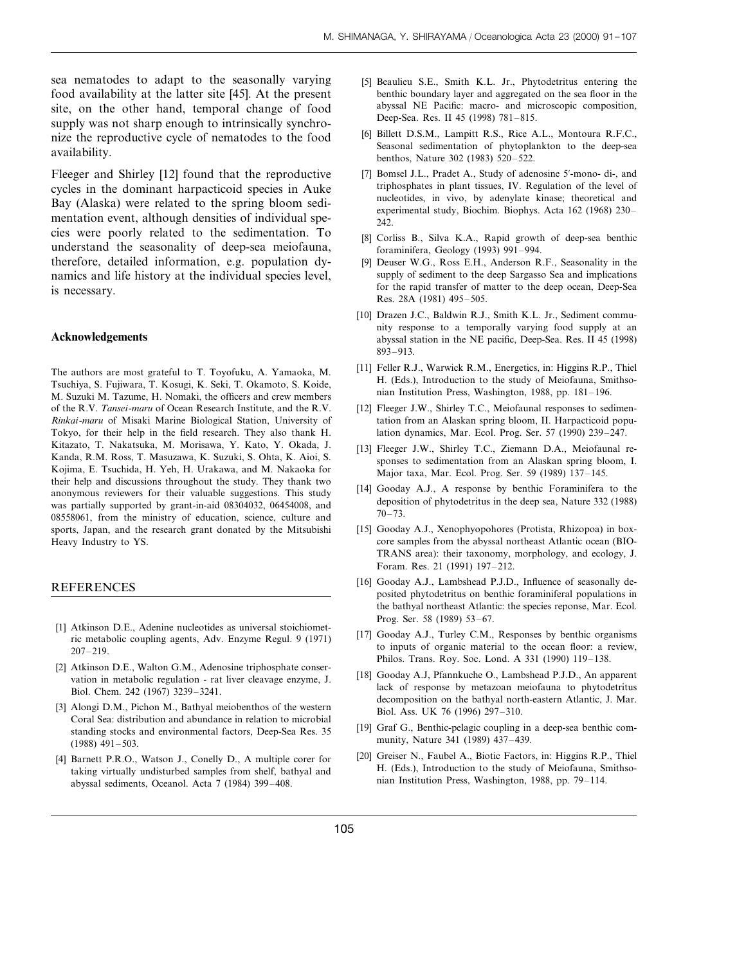sea nematodes to adapt to the seasonally varying food availability at the latter site [45]. At the present site, on the other hand, temporal change of food supply was not sharp enough to intrinsically synchronize the reproductive cycle of nematodes to the food availability.

Fleeger and Shirley [12] found that the reproductive cycles in the dominant harpacticoid species in Auke Bay (Alaska) were related to the spring bloom sedimentation event, although densities of individual species were poorly related to the sedimentation. To understand the seasonality of deep-sea meiofauna, therefore, detailed information, e.g. population dynamics and life history at the individual species level, is necessary.

#### **Acknowledgements**

The authors are most grateful to T. Toyofuku, A. Yamaoka, M. Tsuchiya, S. Fujiwara, T. Kosugi, K. Seki, T. Okamoto, S. Koide, M. Suzuki M. Tazume, H. Nomaki, the officers and crew members of the R.V. *Tansei*-*maru* of Ocean Research Institute, and the R.V. *Rinkai*-*maru* of Misaki Marine Biological Station, University of Tokyo, for their help in the field research. They also thank H. Kitazato, T. Nakatsuka, M. Morisawa, Y. Kato, Y. Okada, J. Kanda, R.M. Ross, T. Masuzawa, K. Suzuki, S. Ohta, K. Aioi, S. Kojima, E. Tsuchida, H. Yeh, H. Urakawa, and M. Nakaoka for their help and discussions throughout the study. They thank two anonymous reviewers for their valuable suggestions. This study was partially supported by grant-in-aid 08304032, 06454008, and 08558061, from the ministry of education, science, culture and sports, Japan, and the research grant donated by the Mitsubishi Heavy Industry to YS.

#### REFERENCES

- [1] Atkinson D.E., Adenine nucleotides as universal stoichiometric metabolic coupling agents, Adv. Enzyme Regul. 9 (1971) 207–219.
- [2] Atkinson D.E., Walton G.M., Adenosine triphosphate conservation in metabolic regulation - rat liver cleavage enzyme, J. Biol. Chem. 242 (1967) 3239–3241.
- [3] Alongi D.M., Pichon M., Bathyal meiobenthos of the western Coral Sea: distribution and abundance in relation to microbial standing stocks and environmental factors, Deep-Sea Res. 35 (1988) 491–503.
- [4] Barnett P.R.O., Watson J., Conelly D., A multiple corer for taking virtually undisturbed samples from shelf, bathyal and abyssal sediments, Oceanol. Acta 7 (1984) 399–408.
- [5] Beaulieu S.E., Smith K.L. Jr., Phytodetritus entering the benthic boundary layer and aggregated on the sea floor in the abyssal NE Pacific: macro- and microscopic composition, Deep-Sea. Res. II 45 (1998) 781–815.
- [6] Billett D.S.M., Lampitt R.S., Rice A.L., Montoura R.F.C., Seasonal sedimentation of phytoplankton to the deep-sea benthos, Nature 302 (1983) 520–522.
- [7] Bomsel J.L., Pradet A., Study of adenosine 5'-mono- di-, and triphosphates in plant tissues, IV. Regulation of the level of nucleotides, in vivo, by adenylate kinase; theoretical and experimental study, Biochim. Biophys. Acta 162 (1968) 230– 242.
- [8] Corliss B., Silva K.A., Rapid growth of deep-sea benthic foraminifera, Geology (1993) 991–994.
- [9] Deuser W.G., Ross E.H., Anderson R.F., Seasonality in the supply of sediment to the deep Sargasso Sea and implications for the rapid transfer of matter to the deep ocean, Deep-Sea Res. 28A (1981) 495–505.
- [10] Drazen J.C., Baldwin R.J., Smith K.L. Jr., Sediment community response to a temporally varying food supply at an abyssal station in the NE pacific, Deep-Sea. Res. II 45 (1998) 893–913.
- [11] Feller R.J., Warwick R.M., Energetics, in: Higgins R.P., Thiel H. (Eds.), Introduction to the study of Meiofauna, Smithsonian Institution Press, Washington, 1988, pp. 181–196.
- [12] Fleeger J.W., Shirley T.C., Meiofaunal responses to sedimentation from an Alaskan spring bloom, II. Harpacticoid population dynamics, Mar. Ecol. Prog. Ser. 57 (1990) 239–247.
- [13] Fleeger J.W., Shirley T.C., Ziemann D.A., Meiofaunal responses to sedimentation from an Alaskan spring bloom, I. Major taxa, Mar. Ecol. Prog. Ser. 59 (1989) 137–145.
- [14] Gooday A.J., A response by benthic Foraminifera to the deposition of phytodetritus in the deep sea, Nature 332 (1988) 70–73.
- [15] Gooday A.J., Xenophyopohores (Protista, Rhizopoa) in boxcore samples from the abyssal northeast Atlantic ocean (BIO-TRANS area): their taxonomy, morphology, and ecology, J. Foram. Res. 21 (1991) 197–212.
- [16] Gooday A.J., Lambshead P.J.D., Influence of seasonally deposited phytodetritus on benthic foraminiferal populations in the bathyal northeast Atlantic: the species reponse, Mar. Ecol. Prog. Ser. 58 (1989) 53–67.
- [17] Gooday A.J., Turley C.M., Responses by benthic organisms to inputs of organic material to the ocean floor: a review, Philos. Trans. Roy. Soc. Lond. A 331 (1990) 119–138.
- [18] Gooday A.J, Pfannkuche O., Lambshead P.J.D., An apparent lack of response by metazoan meiofauna to phytodetritus decomposition on the bathyal north-eastern Atlantic, J. Mar. Biol. Ass. UK 76 (1996) 297–310.
- [19] Graf G., Benthic-pelagic coupling in a deep-sea benthic community, Nature 341 (1989) 437–439.
- [20] Greiser N., Faubel A., Biotic Factors, in: Higgins R.P., Thiel H. (Eds.), Introduction to the study of Meiofauna, Smithsonian Institution Press, Washington, 1988, pp. 79–114.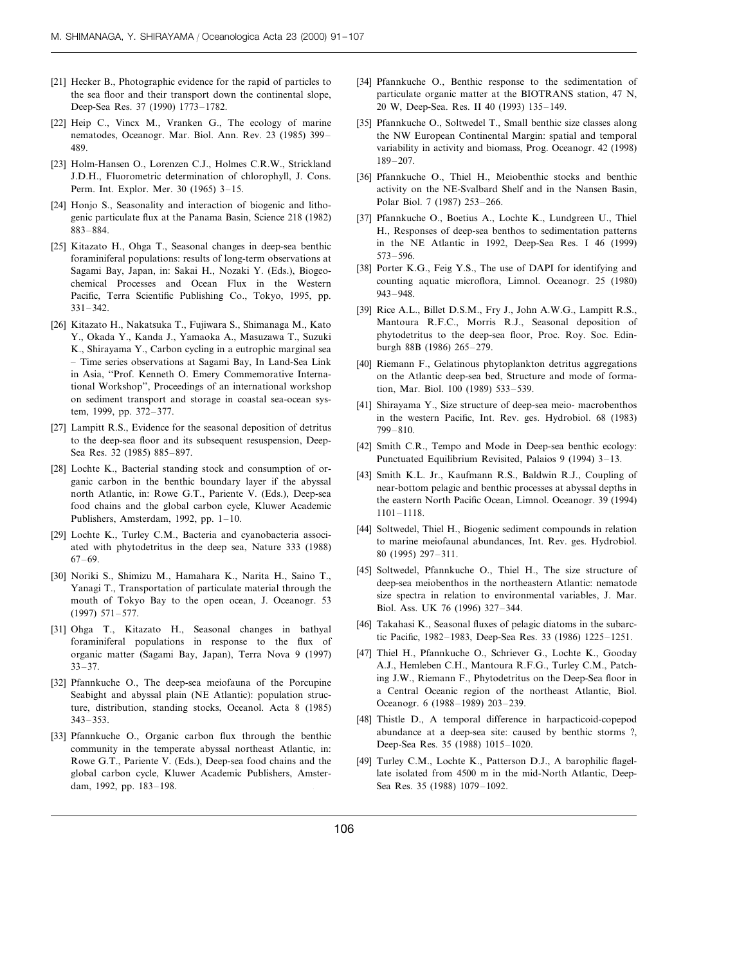- [21] Hecker B., Photographic evidence for the rapid of particles to the sea floor and their transport down the continental slope, Deep-Sea Res. 37 (1990) 1773–1782.
- [22] Heip C., Vincx M., Vranken G., The ecology of marine nematodes, Oceanogr. Mar. Biol. Ann. Rev. 23 (1985) 399– 489.
- [23] Holm-Hansen O., Lorenzen C.J., Holmes C.R.W., Strickland J.D.H., Fluorometric determination of chlorophyll, J. Cons. Perm. Int. Explor. Mer. 30 (1965) 3–15.
- [24] Honjo S., Seasonality and interaction of biogenic and lithogenic particulate flux at the Panama Basin, Science 218 (1982) 883–884.
- [25] Kitazato H., Ohga T., Seasonal changes in deep-sea benthic foraminiferal populations: results of long-term observations at Sagami Bay, Japan, in: Sakai H., Nozaki Y. (Eds.), Biogeochemical Processes and Ocean Flux in the Western Pacific, Terra Scientific Publishing Co., Tokyo, 1995, pp. 331–342.
- [26] Kitazato H., Nakatsuka T., Fujiwara S., Shimanaga M., Kato Y., Okada Y., Kanda J., Yamaoka A., Masuzawa T., Suzuki K., Shirayama Y., Carbon cycling in a eutrophic marginal sea – Time series observations at Sagami Bay, In Land-Sea Link in Asia, ''Prof. Kenneth O. Emery Commemorative International Workshop'', Proceedings of an international workshop on sediment transport and storage in coastal sea-ocean system, 1999, pp. 372–377.
- [27] Lampitt R.S., Evidence for the seasonal deposition of detritus to the deep-sea floor and its subsequent resuspension, Deep-Sea Res. 32 (1985) 885–897.
- [28] Lochte K., Bacterial standing stock and consumption of organic carbon in the benthic boundary layer if the abyssal north Atlantic, in: Rowe G.T., Pariente V. (Eds.), Deep-sea food chains and the global carbon cycle, Kluwer Academic Publishers, Amsterdam, 1992, pp. 1–10.
- [29] Lochte K., Turley C.M., Bacteria and cyanobacteria associated with phytodetritus in the deep sea, Nature 333 (1988) 67–69.
- [30] Noriki S., Shimizu M., Hamahara K., Narita H., Saino T., Yanagi T., Transportation of particulate material through the mouth of Tokyo Bay to the open ocean, J. Oceanogr. 53 (1997) 571–577.
- [31] Ohga T., Kitazato H., Seasonal changes in bathyal foraminiferal populations in response to the flux of organic matter (Sagami Bay, Japan), Terra Nova 9 (1997) 33–37.
- [32] Pfannkuche O., The deep-sea meiofauna of the Porcupine Seabight and abyssal plain (NE Atlantic): population structure, distribution, standing stocks, Oceanol. Acta 8 (1985) 343–353.
- [33] Pfannkuche O., Organic carbon flux through the benthic community in the temperate abyssal northeast Atlantic, in: Rowe G.T., Pariente V. (Eds.), Deep-sea food chains and the global carbon cycle, Kluwer Academic Publishers, Amsterdam, 1992, pp. 183–198.
- [34] Pfannkuche O., Benthic response to the sedimentation of particulate organic matter at the BIOTRANS station, 47 N, 20 W, Deep-Sea. Res. II 40 (1993) 135–149.
- [35] Pfannkuche O., Soltwedel T., Small benthic size classes along the NW European Continental Margin: spatial and temporal variability in activity and biomass, Prog. Oceanogr. 42 (1998) 189–207.
- [36] Pfannkuche O., Thiel H., Meiobenthic stocks and benthic activity on the NE-Svalbard Shelf and in the Nansen Basin, Polar Biol. 7 (1987) 253–266.
- [37] Pfannkuche O., Boetius A., Lochte K., Lundgreen U., Thiel H., Responses of deep-sea benthos to sedimentation patterns in the NE Atlantic in 1992, Deep-Sea Res. I 46 (1999) 573–596.
- [38] Porter K.G., Feig Y.S., The use of DAPI for identifying and counting aquatic microflora, Limnol. Oceanogr. 25 (1980) 943–948.
- [39] Rice A.L., Billet D.S.M., Fry J., John A.W.G., Lampitt R.S., Mantoura R.F.C., Morris R.J., Seasonal deposition of phytodetritus to the deep-sea floor, Proc. Roy. Soc. Edinburgh 88B (1986) 265–279.
- [40] Riemann F., Gelatinous phytoplankton detritus aggregations on the Atlantic deep-sea bed, Structure and mode of formation, Mar. Biol. 100 (1989) 533–539.
- [41] Shirayama Y., Size structure of deep-sea meio- macrobenthos in the western Pacific, Int. Rev. ges. Hydrobiol. 68 (1983) 799–810.
- [42] Smith C.R., Tempo and Mode in Deep-sea benthic ecology: Punctuated Equilibrium Revisited, Palaios 9 (1994) 3–13.
- [43] Smith K.L. Jr., Kaufmann R.S., Baldwin R.J., Coupling of near-bottom pelagic and benthic processes at abyssal depths in the eastern North Pacific Ocean, Limnol. Oceanogr. 39 (1994) 1101–1118.
- [44] Soltwedel, Thiel H., Biogenic sediment compounds in relation to marine meiofaunal abundances, Int. Rev. ges. Hydrobiol. 80 (1995) 297–311.
- [45] Soltwedel, Pfannkuche O., Thiel H., The size structure of deep-sea meiobenthos in the northeastern Atlantic: nematode size spectra in relation to environmental variables, J. Mar. Biol. Ass. UK 76 (1996) 327–344.
- [46] Takahasi K., Seasonal fluxes of pelagic diatoms in the subarctic Pacific, 1982–1983, Deep-Sea Res. 33 (1986) 1225–1251.
- [47] Thiel H., Pfannkuche O., Schriever G., Lochte K., Gooday A.J., Hemleben C.H., Mantoura R.F.G., Turley C.M., Patching J.W., Riemann F., Phytodetritus on the Deep-Sea floor in a Central Oceanic region of the northeast Atlantic, Biol. Oceanogr. 6 (1988–1989) 203–239.
- [48] Thistle D., A temporal difference in harpacticoid-copepod abundance at a deep-sea site: caused by benthic storms ?, Deep-Sea Res. 35 (1988) 1015–1020.
- [49] Turley C.M., Lochte K., Patterson D.J., A barophilic flagellate isolated from 4500 m in the mid-North Atlantic, Deep- . Sea Res. 35 (1988) 1079–1092.